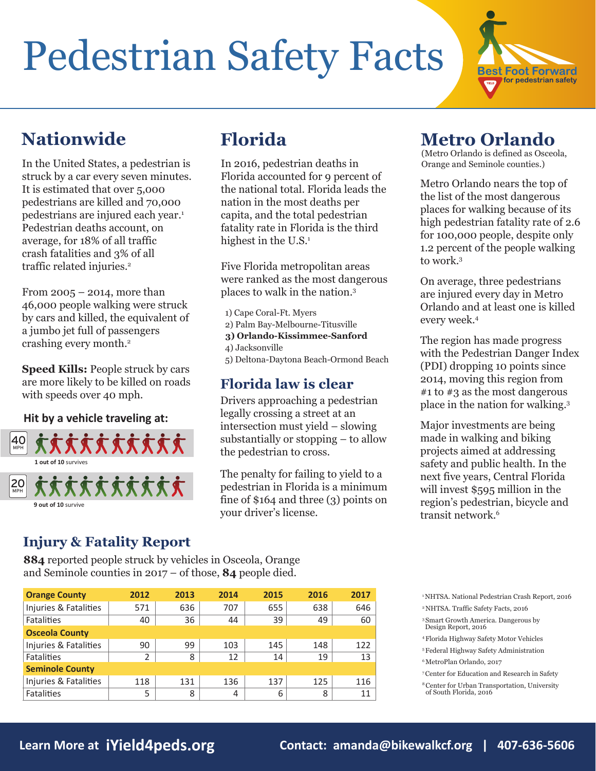# Pedestrian Safety Facts



In the United States, a pedestrian is struck by a car every seven minutes. It is estimated that over 5,000 pedestrians are killed and 70,000 pedestrians are injured each year.<sup>1</sup> Pedestrian deaths account, on average, for 18% of all traffic crash fatalities and 3% of all traffic related injuries.<sup>2</sup>

From  $2005 - 2014$ , more than 46,000 people walking were struck by cars and killed, the equivalent of a jumbo jet full of passengers crashing every month.2

**Speed Kills:** People struck by cars are more likely to be killed on roads with speeds over 40 mph.

#### **Hit by a vehicle traveling at:**



In 2016, pedestrian deaths in Florida accounted for 9 percent of the national total. Florida leads the nation in the most deaths per capita, and the total pedestrian fatality rate in Florida is the third highest in the  $U.S.<sup>1</sup>$ 

Five Florida metropolitan areas were ranked as the most dangerous places to walk in the nation.3

- 1) Cape Coral-Ft. Myers
- 2) Palm Bay-Melbourne-Titusville
- **3) Orlando-Kissimmee-Sanford**
- 4) Jacksonville

5) Deltona-Daytona Beach-Ormond Beach

#### **Florida law is clear**

Drivers approaching a pedestrian legally crossing a street at an intersection must yield – slowing substantially or stopping – to allow the pedestrian to cross.

The penalty for failing to yield to a pedestrian in Florida is a minimum fine of \$164 and three (3) points on your driver's license.

### **Nationwide Florida Metro Orlando**

(Metro Orlando is defined as Osceola, Orange and Seminole counties.)

Metro Orlando nears the top of the list of the most dangerous places for walking because of its high pedestrian fatality rate of 2.6 for 100,000 people, despite only 1.2 percent of the people walking to work.3

On average, three pedestrians are injured every day in Metro Orlando and at least one is killed every week.4

The region has made progress with the Pedestrian Danger Index (PDI) dropping 10 points since 2014, moving this region from #1 to #3 as the most dangerous place in the nation for walking.3

Major investments are being made in walking and biking projects aimed at addressing safety and public health. In the next five years, Central Florida will invest \$595 million in the region's pedestrian, bicycle and transit network.6

### **Injury & Fatality Report**

**884** reported people struck by vehicles in Osceola, Orange and Seminole counties in 2017 – of those, **84** people died.

| <b>Orange County</b>   | 2012 | 2013 | 2014 | 2015 | 2016 | 2017 |
|------------------------|------|------|------|------|------|------|
| Injuries & Fatalities  | 571  | 636  | 707  | 655  | 638  | 646  |
| <b>Fatalities</b>      | 40   | 36   | 44   | 39   | 49   | 60   |
| <b>Osceola County</b>  |      |      |      |      |      |      |
| Injuries & Fatalities  | 90   | 99   | 103  | 145  | 148  | 122  |
| <b>Fatalities</b>      | 2    | 8    | 12   | 14   | 19   | 13   |
| <b>Seminole County</b> |      |      |      |      |      |      |
| Injuries & Fatalities  | 118  | 131  | 136  | 137  | 125  | 116  |
| <b>Fatalities</b>      | 5    | 8    | 4    | 6    | 8    | 11   |

1 NHTSA. National Pedestrian Crash Report, 2016 2 NHTSA. Traffic Safety Facts, 2016

- 3 Smart Growth America. Dangerous by Design Report, 2016
- 4 Florida Highway Safety Motor Vehicles
- 5 Federal Highway Safety Administration
- 6 MetroPlan Orlando, 2017

8 Center for Urban Transportation, University of South Florida, 2016

<sup>7</sup> Center for Education and Research in Safety